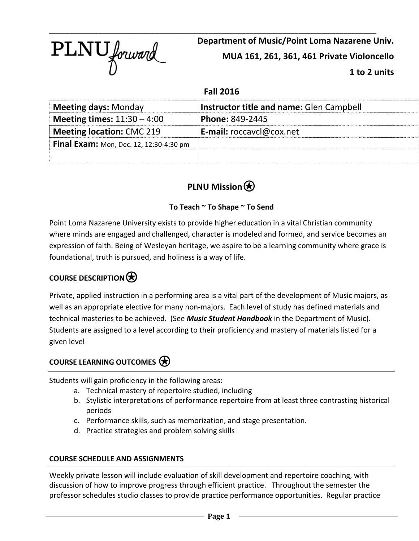

**Department of Music/Point Loma Nazarene Univ. MUA 161, 261, 361, 461 Private Violoncello 1 to 2 units**

### **Fall 2016**

| <b>Meeting days: Monday</b>                    | Instructor title and name: Glen Campbell |
|------------------------------------------------|------------------------------------------|
| <b>Meeting times:</b> $11:30 - 4:00$           | <b>Phone: 849-2445</b>                   |
| <b>Meeting location: CMC 219</b>               | <b>E-mail:</b> roccavcl@cox.net          |
| <b>Final Exam:</b> Mon, Dec. 12, 12:30-4:30 pm |                                          |
|                                                |                                          |

# **PLNU Mission**⍟

### **To Teach ~ To Shape ~ To Send**

Point Loma Nazarene University exists to provide higher education in a vital Christian community where minds are engaged and challenged, character is modeled and formed, and service becomes an expression of faith. Being of Wesleyan heritage, we aspire to be a learning community where grace is foundational, truth is pursued, and holiness is a way of life.

## **COURSE DESCRIPTION**⍟

Private, applied instruction in a performing area is a vital part of the development of Music majors, as well as an appropriate elective for many non-majors. Each level of study has defined materials and technical masteries to be achieved. (See *Music Student Handbook* in the Department of Music). Students are assigned to a level according to their proficiency and mastery of materials listed for a given level

### **COURSE LEARNING OUTCOMES**⍟

Students will gain proficiency in the following areas:

- a. Technical mastery of repertoire studied, including
- b. Stylistic interpretations of performance repertoire from at least three contrasting historical periods
- c. Performance skills, such as memorization, and stage presentation.
- d. Practice strategies and problem solving skills

#### **COURSE SCHEDULE AND ASSIGNMENTS**

Weekly private lesson will include evaluation of skill development and repertoire coaching, with discussion of how to improve progress through efficient practice. Throughout the semester the professor schedules studio classes to provide practice performance opportunities. Regular practice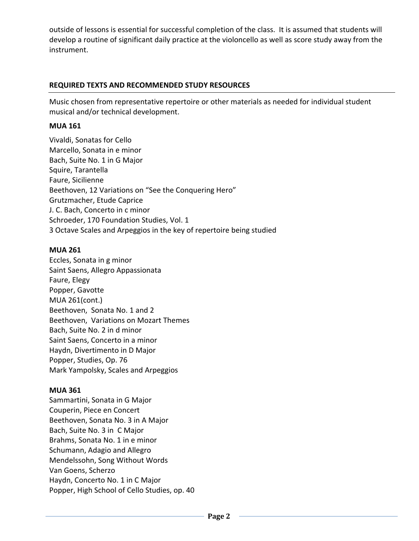outside of lessons is essential for successful completion of the class. It is assumed that students will develop a routine of significant daily practice at the violoncello as well as score study away from the instrument.

#### **REQUIRED TEXTS AND RECOMMENDED STUDY RESOURCES**

Music chosen from representative repertoire or other materials as needed for individual student musical and/or technical development.

#### **MUA 161**

Vivaldi, Sonatas for Cello Marcello, Sonata in e minor Bach, Suite No. 1 in G Major Squire, Tarantella Faure, Sicilienne Beethoven, 12 Variations on "See the Conquering Hero" Grutzmacher, Etude Caprice J. C. Bach, Concerto in c minor Schroeder, 170 Foundation Studies, Vol. 1 3 Octave Scales and Arpeggios in the key of repertoire being studied

#### **MUA 261**

Eccles, Sonata in g minor Saint Saens, Allegro Appassionata Faure, Elegy Popper, Gavotte MUA 261(cont.) Beethoven, Sonata No. 1 and 2 Beethoven, Variations on Mozart Themes Bach, Suite No. 2 in d minor Saint Saens, Concerto in a minor Haydn, Divertimento in D Major Popper, Studies, Op. 76 Mark Yampolsky, Scales and Arpeggios

#### **MUA 361**

Sammartini, Sonata in G Major Couperin, Piece en Concert Beethoven, Sonata No. 3 in A Major Bach, Suite No. 3 in C Major Brahms, Sonata No. 1 in e minor Schumann, Adagio and Allegro Mendelssohn, Song Without Words Van Goens, Scherzo Haydn, Concerto No. 1 in C Major Popper, High School of Cello Studies, op. 40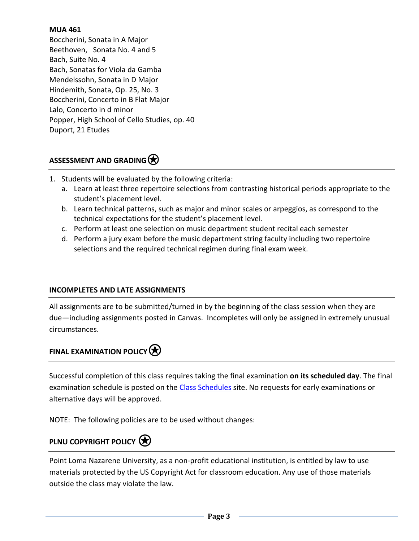#### **MUA 461**

Boccherini, Sonata in A Major Beethoven, Sonata No. 4 and 5 Bach, Suite No. 4 Bach, Sonatas for Viola da Gamba Mendelssohn, Sonata in D Major Hindemith, Sonata, Op. 25, No. 3 Boccherini, Concerto in B Flat Major Lalo, Concerto in d minor Popper, High School of Cello Studies, op. 40 Duport, 21 Etudes

### ASSESSMENT AND GRADING<sup>(\*)</sup>

- 1. Students will be evaluated by the following criteria:
	- a. Learn at least three repertoire selections from contrasting historical periods appropriate to the student's placement level.
	- b. Learn technical patterns, such as major and minor scales or arpeggios, as correspond to the technical expectations for the student's placement level.
	- c. Perform at least one selection on music department student recital each semester
	- d. Perform a jury exam before the music department string faculty including two repertoire selections and the required technical regimen during final exam week.

#### **INCOMPLETES AND LATE ASSIGNMENTS**

All assignments are to be submitted/turned in by the beginning of the class session when they are due—including assignments posted in Canvas. Incompletes will only be assigned in extremely unusual circumstances.

# **FINAL EXAMINATION POLICY**

Successful completion of this class requires taking the final examination **on its scheduled day**. The final examination schedule is posted on the [Class Schedules](http://www.pointloma.edu/experience/academics/class-schedules) site. No requests for early examinations or alternative days will be approved.

NOTE: The following policies are to be used without changes:

## **PLNU COPYRIGHT POLICY**

Point Loma Nazarene University, as a non-profit educational institution, is entitled by law to use materials protected by the US Copyright Act for classroom education. Any use of those materials outside the class may violate the law.